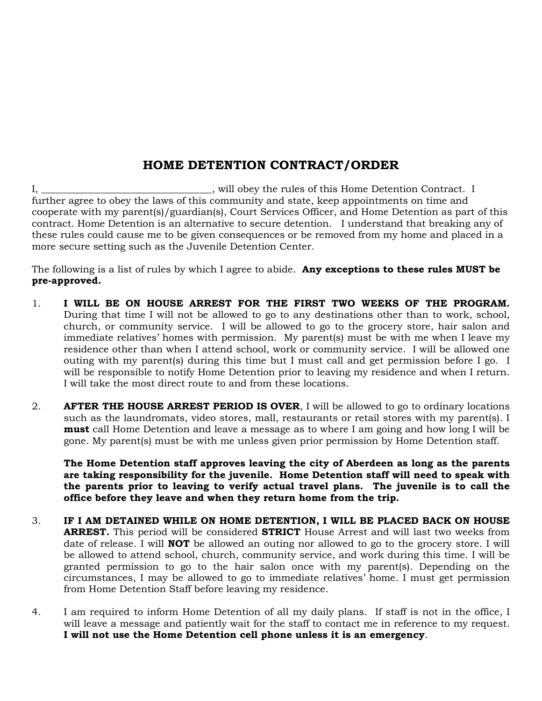# **HOME DETENTION CONTRACT/ORDER**

I, \_\_\_\_\_\_\_\_\_\_\_\_\_\_\_\_\_\_\_\_\_\_\_\_\_\_\_\_\_\_\_\_\_\_, will obey the rules of this Home Detention Contract. I further agree to obey the laws of this community and state, keep appointments on time and cooperate with my parent(s)/guardian(s), Court Services Officer, and Home Detention as part of this contract. Home Detention is an alternative to secure detention. I understand that breaking any of these rules could cause me to be given consequences or be removed from my home and placed in a more secure setting such as the Juvenile Detention Center.

The following is a list of rules by which I agree to abide. **Any exceptions to these rules MUST be pre-approved.**

- 1. **I WILL BE ON HOUSE ARREST FOR THE FIRST TWO WEEKS OF THE PROGRAM.** During that time I will not be allowed to go to any destinations other than to work, school, church, or community service. I will be allowed to go to the grocery store, hair salon and immediate relatives' homes with permission. My parent(s) must be with me when I leave my residence other than when I attend school, work or community service. I will be allowed one outing with my parent(s) during this time but I must call and get permission before I go. I will be responsible to notify Home Detention prior to leaving my residence and when I return. I will take the most direct route to and from these locations.
- 2. **AFTER THE HOUSE ARREST PERIOD IS OVER**, I will be allowed to go to ordinary locations such as the laundromats, video stores, mall, restaurants or retail stores with my parent(s). I **must** call Home Detention and leave a message as to where I am going and how long I will be gone. My parent(s) must be with me unless given prior permission by Home Detention staff.

**The Home Detention staff approves leaving the city of Aberdeen as long as the parents are taking responsibility for the juvenile. Home Detention staff will need to speak with the parents prior to leaving to verify actual travel plans. The juvenile is to call the office before they leave and when they return home from the trip.**

- 3. **IF I AM DETAINED WHILE ON HOME DETENTION, I WILL BE PLACED BACK ON HOUSE ARREST.** This period will be considered **STRICT** House Arrest and will last two weeks from date of release. I will **NOT** be allowed an outing nor allowed to go to the grocery store. I will be allowed to attend school, church, community service, and work during this time. I will be granted permission to go to the hair salon once with my parent(s). Depending on the circumstances, I may be allowed to go to immediate relatives' home. I must get permission from Home Detention Staff before leaving my residence.
- 4. I am required to inform Home Detention of all my daily plans. If staff is not in the office, I will leave a message and patiently wait for the staff to contact me in reference to my request. **I will not use the Home Detention cell phone unless it is an emergency**.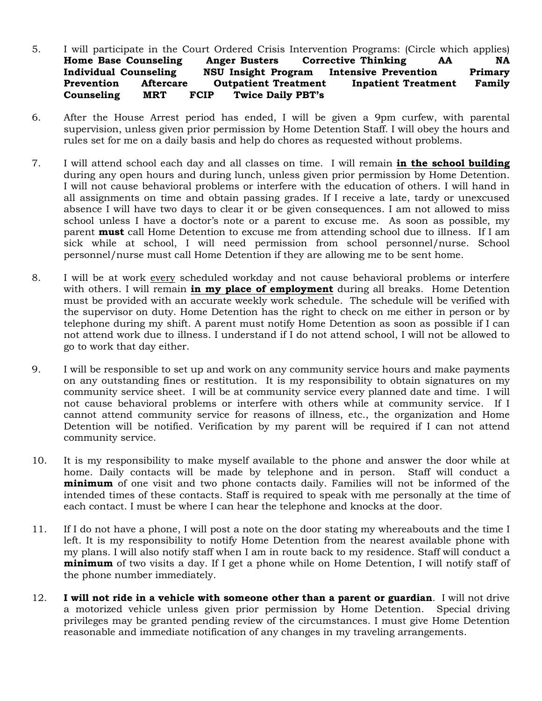### 5. I will participate in the Court Ordered Crisis Intervention Programs: (Circle which applies) **Home Base Counseling Anger Busters Corrective Thinking AA NA Individual Counseling NSU Insight Program Intensive Prevention Primary Prevention Aftercare Outpatient Treatment Inpatient Treatment Family Counseling MRT FCIP Twice Daily PBT's**

- 6. After the House Arrest period has ended, I will be given a 9pm curfew, with parental supervision, unless given prior permission by Home Detention Staff. I will obey the hours and rules set for me on a daily basis and help do chores as requested without problems.
- 7. I will attend school each day and all classes on time. I will remain **in the school building** during any open hours and during lunch, unless given prior permission by Home Detention. I will not cause behavioral problems or interfere with the education of others. I will hand in all assignments on time and obtain passing grades. If I receive a late, tardy or unexcused absence I will have two days to clear it or be given consequences. I am not allowed to miss school unless I have a doctor's note or a parent to excuse me. As soon as possible, my parent **must** call Home Detention to excuse me from attending school due to illness. If I am sick while at school, I will need permission from school personnel/nurse. School personnel/nurse must call Home Detention if they are allowing me to be sent home.
- 8. I will be at work every scheduled workday and not cause behavioral problems or interfere with others. I will remain **in my place of employment** during all breaks. Home Detention must be provided with an accurate weekly work schedule. The schedule will be verified with the supervisor on duty. Home Detention has the right to check on me either in person or by telephone during my shift. A parent must notify Home Detention as soon as possible if I can not attend work due to illness. I understand if I do not attend school, I will not be allowed to go to work that day either.
- 9. I will be responsible to set up and work on any community service hours and make payments on any outstanding fines or restitution. It is my responsibility to obtain signatures on my community service sheet. I will be at community service every planned date and time. I will not cause behavioral problems or interfere with others while at community service. If I cannot attend community service for reasons of illness, etc., the organization and Home Detention will be notified. Verification by my parent will be required if I can not attend community service.
- 10. It is my responsibility to make myself available to the phone and answer the door while at home. Daily contacts will be made by telephone and in person. Staff will conduct a **minimum** of one visit and two phone contacts daily. Families will not be informed of the intended times of these contacts. Staff is required to speak with me personally at the time of each contact. I must be where I can hear the telephone and knocks at the door.
- 11. If I do not have a phone, I will post a note on the door stating my whereabouts and the time I left. It is my responsibility to notify Home Detention from the nearest available phone with my plans. I will also notify staff when I am in route back to my residence. Staff will conduct a **minimum** of two visits a day. If I get a phone while on Home Detention, I will notify staff of the phone number immediately.
- 12. **I will not ride in a vehicle with someone other than a parent or guardian**. I will not drive a motorized vehicle unless given prior permission by Home Detention. Special driving privileges may be granted pending review of the circumstances. I must give Home Detention reasonable and immediate notification of any changes in my traveling arrangements.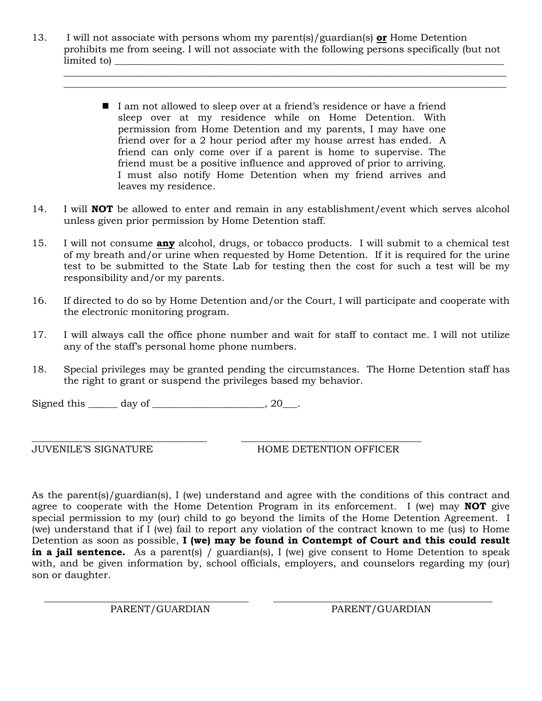13. I will not associate with persons whom my parent(s)/guardian(s) **or** Home Detention prohibits me from seeing. I will not associate with the following persons specifically (but not limited to  $\blacksquare$ 

 $\_$  ,  $\_$  ,  $\_$  ,  $\_$  ,  $\_$  ,  $\_$  ,  $\_$  ,  $\_$  ,  $\_$  ,  $\_$  ,  $\_$  ,  $\_$  ,  $\_$  ,  $\_$  ,  $\_$  ,  $\_$  ,  $\_$  ,  $\_$  ,  $\_$  ,  $\_$  ,  $\_$  ,  $\_$  ,  $\_$  ,  $\_$  ,  $\_$  ,  $\_$  ,  $\_$  ,  $\_$  ,  $\_$  ,  $\_$  ,  $\_$  ,  $\_$  ,  $\_$  ,  $\_$  ,  $\_$  ,  $\_$  ,  $\_$  ,  $\_$  ,  $\_$  ,  $\_$  ,  $\_$  ,  $\_$  ,  $\_$  ,  $\_$  ,  $\_$  ,  $\_$  ,  $\_$  ,  $\_$  ,  $\_$  ,  $\_$  ,  $\_$  ,  $\_$  ,  $\_$  ,  $\_$  ,  $\_$  ,  $\_$  ,  $\_$  ,  $\_$  ,  $\_$  ,  $\_$  ,  $\_$  ,  $\_$  ,  $\_$  ,  $\_$  ,  $\_$  ,  $\_$  ,  $\_$  ,  $\_$  ,  $\_$  ,  $\_$  ,  $\_$  ,  $\_$  ,  $\_$  ,  $\_$  ,

- I am not allowed to sleep over at a friend's residence or have a friend sleep over at my residence while on Home Detention. With permission from Home Detention and my parents, I may have one friend over for a 2 hour period after my house arrest has ended. A friend can only come over if a parent is home to supervise. The friend must be a positive influence and approved of prior to arriving. I must also notify Home Detention when my friend arrives and leaves my residence.
- 14. I will **NOT** be allowed to enter and remain in any establishment/event which serves alcohol unless given prior permission by Home Detention staff.
- 15. I will not consume **any** alcohol, drugs, or tobacco products. I will submit to a chemical test of my breath and/or urine when requested by Home Detention. If it is required for the urine test to be submitted to the State Lab for testing then the cost for such a test will be my responsibility and/or my parents.
- 16. If directed to do so by Home Detention and/or the Court, I will participate and cooperate with the electronic monitoring program.
- 17. I will always call the office phone number and wait for staff to contact me. I will not utilize any of the staff's personal home phone numbers.
- 18. Special privileges may be granted pending the circumstances. The Home Detention staff has the right to grant or suspend the privileges based my behavior.

\_\_\_\_\_\_\_\_\_\_\_\_\_\_\_\_\_\_\_\_\_\_\_\_\_\_\_\_\_\_\_\_\_\_\_\_ \_\_\_\_\_\_\_\_\_\_\_\_\_\_\_\_\_\_\_\_\_\_\_\_\_\_\_\_\_\_\_\_\_\_\_\_\_

Signed this \_\_\_\_\_\_ day of \_\_\_\_\_\_\_\_\_\_\_\_\_\_\_\_\_\_\_, 20\_\_\_.

JUVENILE'S SIGNATURE HOME DETENTION OFFICER

As the parent(s)/guardian(s), I (we) understand and agree with the conditions of this contract and agree to cooperate with the Home Detention Program in its enforcement. I (we) may **NOT** give special permission to my (our) child to go beyond the limits of the Home Detention Agreement. I (we) understand that if I (we) fail to report any violation of the contract known to me (us) to Home Detention as soon as possible, **I (we) may be found in Contempt of Court and this could result in a jail sentence.** As a parent(s) / guardian(s), I (we) give consent to Home Detention to speak with, and be given information by, school officials, employers, and counselors regarding my (our) son or daughter.

 $\overline{\phantom{a}}$  ,  $\overline{\phantom{a}}$  ,  $\overline{\phantom{a}}$  ,  $\overline{\phantom{a}}$  ,  $\overline{\phantom{a}}$  ,  $\overline{\phantom{a}}$  ,  $\overline{\phantom{a}}$  ,  $\overline{\phantom{a}}$  ,  $\overline{\phantom{a}}$  ,  $\overline{\phantom{a}}$  ,  $\overline{\phantom{a}}$  ,  $\overline{\phantom{a}}$  ,  $\overline{\phantom{a}}$  ,  $\overline{\phantom{a}}$  ,  $\overline{\phantom{a}}$  ,  $\overline{\phantom{a}}$